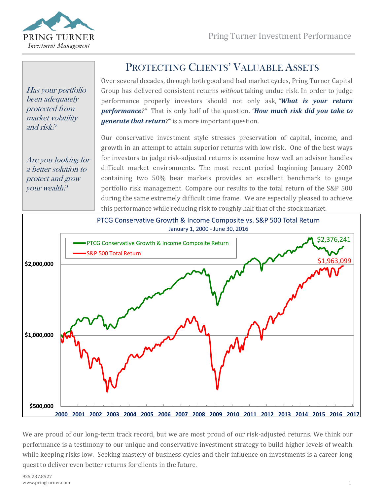

Has your portfolio been adequately protected from market volatility and risk?

Are you looking for a better solution to protect and grow your wealth?

# PROTECTING CLIENTS' VALUABLE ASSETS

Over several decades, through both good and bad market cycles, Pring Turner Capital Group has delivered consistent returns *without* taking undue risk. In order to judge performance properly investors should not only ask, *"What is your return performance?"* That is only half of the question. *"How much risk did you take to generate that return?"* is a more important question.

Our conservative investment style stresses preservation of capital, income, and growth in an attempt to attain superior returns with low risk. One of the best ways for investors to judge risk-adjusted returns is examine how well an advisor handles difficult market environments. The most recent period beginning January 2000 containing two 50% bear markets provides an excellent benchmark to gauge portfolio risk management. Compare our results to the total return of the S&P 500 during the same extremely difficult time frame. We are especially pleased to achieve this performance while reducing risk to roughly half that of the stock market.



We are proud of our long-term track record, but we are most proud of our risk-adjusted returns. We think our performance is a testimony to our unique and conservative investment strategy to build higher levels of wealth while keeping risks low. Seeking mastery of business cycles and their influence on investments is a career long quest to deliver even better returns for clients in the future.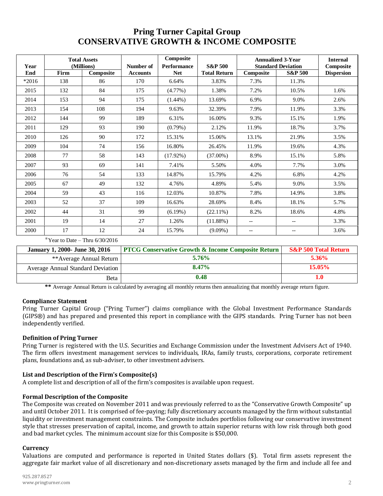# **Pring Turner Capital Group CONSERVATIVE GROWTH & INCOME COMPOSITE**

| Year    | <b>Total Assets</b><br>(Millions) |           | Number of       | Composite<br><b>Performance</b> | <b>S&amp;P 500</b>  | <b>Annualized 3-Year</b><br><b>Standard Deviation</b> |                    | <b>Internal</b><br>Composite |
|---------|-----------------------------------|-----------|-----------------|---------------------------------|---------------------|-------------------------------------------------------|--------------------|------------------------------|
| End     | Firm                              | Composite | <b>Accounts</b> | <b>Net</b>                      | <b>Total Return</b> | Composite                                             | <b>S&amp;P 500</b> | <b>Dispersion</b>            |
| $*2016$ | 138                               | 86        | 170             | 6.64%                           | 3.83%               | 7.3%                                                  | 11.3%              |                              |
| 2015    | 132                               | 84        | 175             | $(4.77\%)$                      | 1.38%               | 7.2%                                                  | 10.5%              | 1.6%                         |
| 2014    | 153                               | 94        | 175             | $(1.44\%)$                      | 13.69%              | 6.9%                                                  | 9.0%               | 2.6%                         |
| 2013    | 154                               | 108       | 194             | 9.63%                           | 32.39%              | 7.9%                                                  | 11.9%              | 3.3%                         |
| 2012    | 144                               | 99        | 189             | 6.31%                           | 16.00%              | 9.3%                                                  | 15.1%              | 1.9%                         |
| 2011    | 129                               | 93        | 190             | $(0.79\%)$                      | 2.12%               | 11.9%                                                 | 18.7%              | 3.7%                         |
| 2010    | 126                               | 90        | 172             | 15.31%                          | 15.06%              | 13.1%                                                 | 21.9%              | 3.5%                         |
| 2009    | 104                               | 74        | 156             | 16.80%                          | 26.45%              | 11.9%                                                 | 19.6%              | 4.3%                         |
| 2008    | 77                                | 58        | 143             | $(17.92\%)$                     | $(37.00\%)$         | 8.9%                                                  | 15.1%              | 5.8%                         |
| 2007    | 93                                | 69        | 141             | 7.41%                           | 5.50%               | 4.0%                                                  | 7.7%               | 3.0%                         |
| 2006    | 76                                | 54        | 133             | 14.87%                          | 15.79%              | 4.2%                                                  | 6.8%               | 4.2%                         |
| 2005    | 67                                | 49        | 132             | 4.76%                           | 4.89%               | 5.4%                                                  | 9.0%               | 3.5%                         |
| 2004    | 59                                | 43        | 116             | 12.03%                          | 10.87%              | 7.8%                                                  | 14.9%              | 3.8%                         |
| 2003    | 52                                | 37        | 109             | 16.63%                          | 28.69%              | 8.4%                                                  | 18.1%              | 5.7%                         |
| 2002    | 44                                | 31        | 99              | $(6.19\%)$                      | $(22.11\%)$         | 8.2%                                                  | 18.6%              | 4.8%                         |
| 2001    | 19                                | 14        | 27              | 1.26%                           | $(11.88\%)$         | $\qquad \qquad -$                                     | $-$                | 3.3%                         |
| 2000    | 17                                | 12        | 24              | 15.79%                          | $(9.09\%)$          | $\hspace{0.05cm} \textbf{--}$                         | --                 | 3.6%                         |

\*Year to Date – Thru  $6/30/2016$ 

| <b>January 1, 2000- June 30, 2016</b> | <b>PTCG Conservative Growth &amp; Income Composite Return</b> | <b>S&amp;P 500 Total Return</b> |
|---------------------------------------|---------------------------------------------------------------|---------------------------------|
| **Average Annual Return               | 5.76%                                                         | $5.36\%$                        |
| Average Annual Standard Deviation     | 8.47%                                                         | 15.05%                          |
| Beta                                  | 0.48                                                          |                                 |

**\*\*** Average Annual Return is calculated by averaging all monthly returns then annualizing that monthly average return figure.

#### **Compliance Statement**

Pring Turner Capital Group ("Pring Turner") claims compliance with the Global Investment Performance Standards (GIPS®) and has prepared and presented this report in compliance with the GIPS standards. Pring Turner has not been independently verified.

## **Definition of Pring Turner**

Pring Turner is registered with the U.S. Securities and Exchange Commission under the Investment Advisers Act of 1940. The firm offers investment management services to individuals, IRAs, family trusts, corporations, corporate retirement plans, foundations and, as sub-adviser, to other investment advisers.

## **List and Description of the Firm's Composite(s)**

A complete list and description of all of the firm's composites is available upon request.

#### **Formal Description of the Composite**

The Composite was created on November 2011 and was previously referred to as the "Conservative Growth Composite" up and until October 2011. It is comprised of fee-paying; fully discretionary accounts managed by the firm without substantial liquidity or investment management constraints. The Composite includes portfolios following our conservative investment style that stresses preservation of capital, income, and growth to attain superior returns with low risk through both good and bad market cycles. The minimum account size for this Composite is \$50,000.

#### **Currency**

Valuations are computed and performance is reported in United States dollars (\$). Total firm assets represent the aggregate fair market value of all discretionary and non-discretionary assets managed by the firm and include all fee and